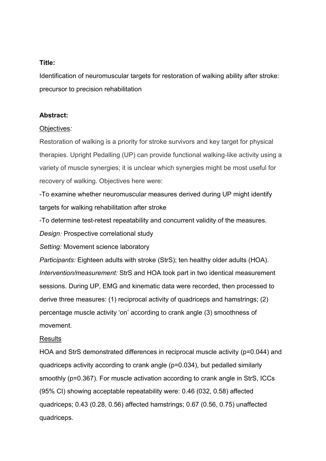## **Title:**

Identification of neuromuscular targets for restoration of walking ability after stroke: precursor to precision rehabilitation

#### **Abstract:**

#### Objectives*:*

Restoration of walking is a priority for stroke survivors and key target for physical therapies. Upright Pedalling (UP) can provide functional walking-like activity using a variety of muscle synergies; it is unclear which synergies might be most useful for recovery of walking. Objectives here were:

-To examine whether neuromuscular measures derived during UP might identify targets for walking rehabilitation after stroke

-To determine test-retest repeatability and concurrent validity of the measures.

*Design:* Prospective correlational study

*Setting:* Movement science laboratory

*Participants:* Eighteen adults with stroke (StrS); ten healthy older adults (HOA). *Intervention/measurement:* StrS and HOA took part in two identical measurement sessions. During UP, EMG and kinematic data were recorded, then processed to derive three measures: (1) reciprocal activity of quadriceps and hamstrings; (2) percentage muscle activity 'on' according to crank angle (3) smoothness of movement.

#### **Results**

HOA and StrS demonstrated differences in reciprocal muscle activity (p=0.044) and quadriceps activity according to crank angle (p=0.034), but pedalled similarly smoothly (p=0.367). For muscle activation according to crank angle in StrS, ICCs (95% CI) showing acceptable repeatability were: 0.46 (032, 0.58) affected quadriceps; 0.43 (0.28, 0.56) affected hamstrings; 0.67 (0.56, 0.75) unaffected quadriceps.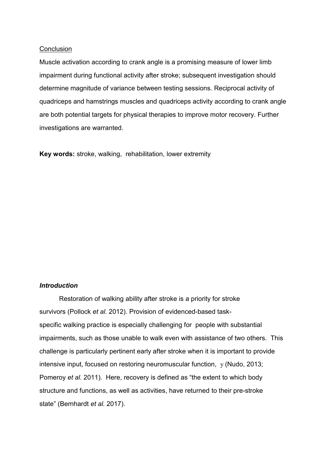#### **Conclusion**

Muscle activation according to crank angle is a promising measure of lower limb impairment during functional activity after stroke; subsequent investigation should determine magnitude of variance between testing sessions. Reciprocal activity of quadriceps and hamstrings muscles and quadriceps activity according to crank angle are both potential targets for physical therapies to improve motor recovery. Further investigations are warranted.

**Key words:** stroke, walking, rehabilitation, lower extremity

# *Introduction*

Restoration of walking ability after stroke is a priority for stroke survivors (Pollock *et al.* 2012). Provision of evidenced-based taskspecific walking practice is especially challenging for people with substantial impairments, such as those unable to walk even with assistance of two others. This challenge is particularly pertinent early after stroke when it is important to provide intensive input, focused on restoring neuromuscular function, y (Nudo, 2013; Pomeroy *et al.* 2011). Here, recovery is defined as "the extent to which body structure and functions, as well as activities, have returned to their pre-stroke state" (Bernhardt *et al.* 2017).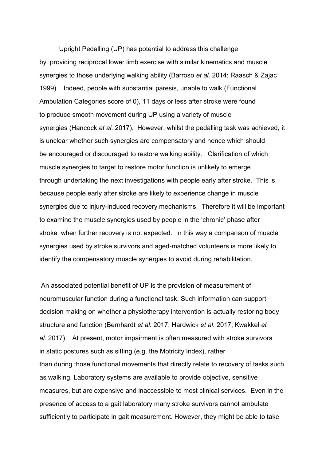Upright Pedalling (UP) has potential to address this challenge by providing reciprocal lower limb exercise with similar kinematics and muscle synergies to those underlying walking ability (Barroso *et al.* 2014; Raasch & Zajac 1999). Indeed, people with substantial paresis, unable to walk (Functional Ambulation Categories score of 0), 11 days or less after stroke were found to produce smooth movement during UP using a variety of muscle synergies (Hancock *et al.* 2017). However, whilst the pedalling task was achieved, it is unclear whether such synergies are compensatory and hence which should be encouraged or discouraged to restore walking ability. Clarification of which muscle synergies to target to restore motor function is unlikely to emerge through undertaking the next investigations with people early after stroke. This is because people early after stroke are likely to experience change in muscle synergies due to injury-induced recovery mechanisms. Therefore it will be important to examine the muscle synergies used by people in the 'chronic' phase after stroke when further recovery is not expected. In this way a comparison of muscle synergies used by stroke survivors and aged-matched volunteers is more likely to identify the compensatory muscle synergies to avoid during rehabilitation.

An associated potential benefit of UP is the provision of measurement of neuromuscular function during a functional task. Such information can support decision making on whether a physiotherapy intervention is actually restoring body structure and function (Bernhardt *et al.* 2017; Hardwick *et al.* 2017; Kwakkel *et al.* 2017). At present, motor impairment is often measured with stroke survivors in static postures such as sitting (e.g. the Motricity Index), rather than during those functional movements that directly relate to recovery of tasks such as walking. Laboratory systems are available to provide objective, sensitive measures, but are expensive and inaccessible to most clinical services. Even in the presence of access to a gait laboratory many stroke survivors cannot ambulate sufficiently to participate in gait measurement. However, they might be able to take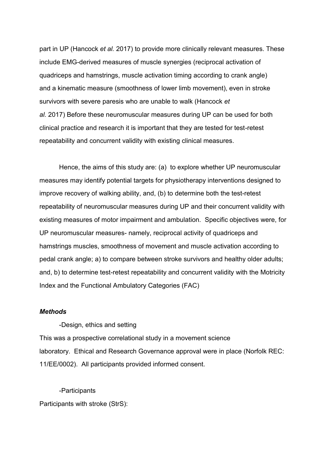part in UP (Hancock *et al.* 2017) to provide more clinically relevant measures. These include EMG-derived measures of muscle synergies (reciprocal activation of quadriceps and hamstrings, muscle activation timing according to crank angle) and a kinematic measure (smoothness of lower limb movement), even in stroke survivors with severe paresis who are unable to walk (Hancock *et al.* 2017) Before these neuromuscular measures during UP can be used for both clinical practice and research it is important that they are tested for test-retest repeatability and concurrent validity with existing clinical measures.

Hence, the aims of this study are: (a) to explore whether UP neuromuscular measures may identify potential targets for physiotherapy interventions designed to improve recovery of walking ability, and, (b) to determine both the test-retest repeatability of neuromuscular measures during UP and their concurrent validity with existing measures of motor impairment and ambulation. Specific objectives were, for UP neuromuscular measures- namely, reciprocal activity of quadriceps and hamstrings muscles, smoothness of movement and muscle activation according to pedal crank angle; a) to compare between stroke survivors and healthy older adults; and, b) to determine test-retest repeatability and concurrent validity with the Motricity Index and the Functional Ambulatory Categories (FAC)

### *Methods*

-Design, ethics and setting This was a prospective correlational study in a movement science laboratory. Ethical and Research Governance approval were in place (Norfolk REC: 11/EE/0002). All participants provided informed consent.

-Participants Participants with stroke (StrS):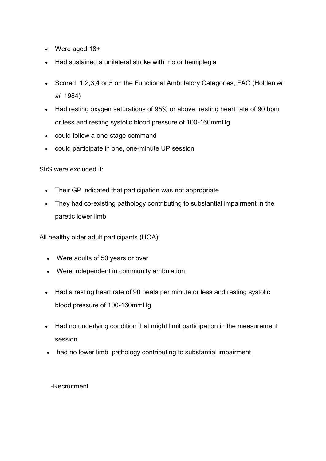- Were aged 18+
- Had sustained a unilateral stroke with motor hemiplegia
- Scored 1,2,3,4 or 5 on the Functional Ambulatory Categories, FAC (Holden *et al.* 1984)
- Had resting oxygen saturations of 95% or above, resting heart rate of 90 bpm or less and resting systolic blood pressure of 100-160mmHg
- could follow a one-stage command
- could participate in one, one-minute UP session

StrS were excluded if:

- Their GP indicated that participation was not appropriate
- They had co-existing pathology contributing to substantial impairment in the paretic lower limb

All healthy older adult participants (HOA):

- Were adults of 50 years or over
- Were independent in community ambulation
- Had a resting heart rate of 90 beats per minute or less and resting systolic blood pressure of 100-160mmHg
- Had no underlying condition that might limit participation in the measurement session
- had no lower limb pathology contributing to substantial impairment

# -Recruitment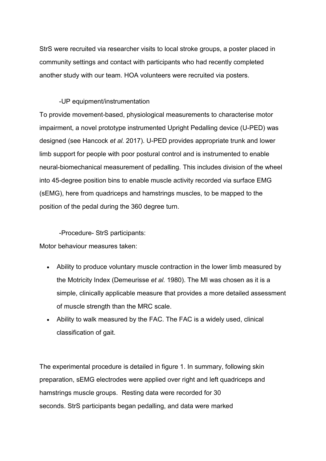StrS were recruited via researcher visits to local stroke groups, a poster placed in community settings and contact with participants who had recently completed another study with our team. HOA volunteers were recruited via posters.

## -UP equipment/instrumentation

To provide movement-based, physiological measurements to characterise motor impairment, a novel prototype instrumented Upright Pedalling device (U-PED) was designed (see Hancock *et al.* 2017). U-PED provides appropriate trunk and lower limb support for people with poor postural control and is instrumented to enable neural-biomechanical measurement of pedalling. This includes division of the wheel into 45-degree position bins to enable muscle activity recorded via surface EMG (sEMG), here from quadriceps and hamstrings muscles, to be mapped to the position of the pedal during the 360 degree turn.

-Procedure- StrS participants:

Motor behaviour measures taken:

- Ability to produce voluntary muscle contraction in the lower limb measured by the Motricity Index (Demeurisse *et al.* 1980). The MI was chosen as it is a simple, clinically applicable measure that provides a more detailed assessment of muscle strength than the MRC scale.
- Ability to walk measured by the FAC. The FAC is a widely used, clinical classification of gait.

The experimental procedure is detailed in figure 1. In summary, following skin preparation, sEMG electrodes were applied over right and left quadriceps and hamstrings muscle groups. Resting data were recorded for 30 seconds. StrS participants began pedalling, and data were marked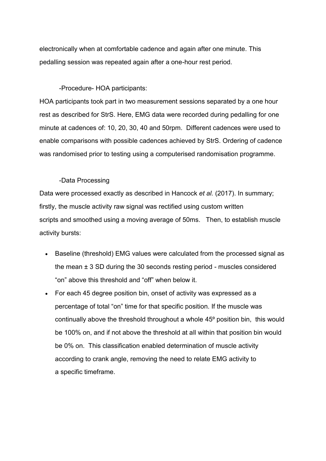electronically when at comfortable cadence and again after one minute. This pedalling session was repeated again after a one-hour rest period.

### -Procedure- HOA participants:

HOA participants took part in two measurement sessions separated by a one hour rest as described for StrS. Here, EMG data were recorded during pedalling for one minute at cadences of: 10, 20, 30, 40 and 50rpm. Different cadences were used to enable comparisons with possible cadences achieved by StrS. Ordering of cadence was randomised prior to testing using a computerised randomisation programme.

## -Data Processing

Data were processed exactly as described in Hancock *et al.* (2017). In summary; firstly, the muscle activity raw signal was rectified using custom written scripts and smoothed using a moving average of 50ms. Then, to establish muscle activity bursts:

- Baseline (threshold) EMG values were calculated from the processed signal as the mean ± 3 SD during the 30 seconds resting period - muscles considered "on" above this threshold and "off" when below it.
- For each 45 degree position bin, onset of activity was expressed as a percentage of total "on" time for that specific position. If the muscle was continually above the threshold throughout a whole 45<sup>°</sup> position bin, this would be 100% on, and if not above the threshold at all within that position bin would be 0% on. This classification enabled determination of muscle activity according to crank angle, removing the need to relate EMG activity to a specific timeframe.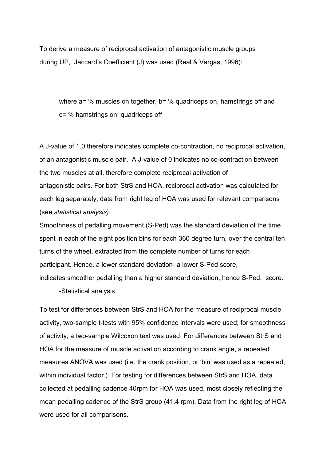To derive a measure of reciprocal activation of antagonistic muscle groups during UP, Jaccard's Coefficient (J) was used (Real & Vargas, 1996):

where a= % muscles on together, b= % quadriceps on, hamstrings off and c= % hamstrings on, quadriceps off

A J-value of 1.0 therefore indicates complete co-contraction, no reciprocal activation, of an antagonistic muscle pair. A J-value of 0 indicates no co-contraction between the two muscles at all, therefore complete reciprocal activation of antagonistic pairs. For both StrS and HOA, reciprocal activation was calculated for each leg separately; data from right leg of HOA was used for relevant comparisons (see *statistical analysis)*

Smoothness of pedalling movement (S-Ped) was the standard deviation of the time spent in each of the eight position bins for each 360 degree turn, over the central ten turns of the wheel, extracted from the complete number of turns for each participant. Hence, a lower standard deviation- a lower S-Ped score, indicates smoother pedalling than a higher standard deviation, hence S-Ped, score.

-Statistical analysis

To test for differences between StrS and HOA for the measure of reciprocal muscle activity, two-sample t-tests with 95% confidence intervals were used; for smoothness of activity, a two-sample Wilcoxon text was used. For differences between StrS and HOA for the measure of muscle activation according to crank angle, a repeated measures ANOVA was used (i.e. the crank position, or 'bin' was used as a repeated, within individual factor.) For testing for differences between StrS and HOA, data collected at pedalling cadence 40rpm for HOA was used, most closely reflecting the mean pedalling cadence of the StrS group (41.4 rpm). Data from the right leg of HOA were used for all comparisons.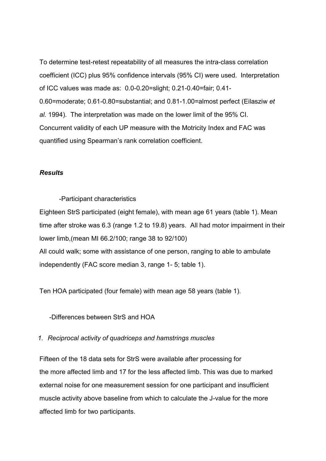To determine test-retest repeatability of all measures the intra-class correlation coefficient (ICC) plus 95% confidence intervals (95% CI) were used. Interpretation of ICC values was made as: 0.0-0.20=slight; 0.21-0.40=fair; 0.41- 0.60=moderate; 0.61-0.80=substantial; and 0.81-1.00=almost perfect (Eilasziw *et al.* 1994). The interpretation was made on the lower limit of the 95% CI. Concurrent validity of each UP measure with the Motricity Index and FAC was quantified using Spearman's rank correlation coefficient.

#### *Results*

#### -Participant characteristics

Eighteen StrS participated (eight female), with mean age 61 years (table 1). Mean time after stroke was 6.3 (range 1.2 to 19.8) years. All had motor impairment in their lower limb,(mean MI 66.2/100; range 38 to 92/100) All could walk; some with assistance of one person, ranging to able to ambulate independently (FAC score median 3, range 1- 5; table 1).

Ten HOA participated (four female) with mean age 58 years (table 1).

-Differences between StrS and HOA

## *1. Reciprocal activity of quadriceps and hamstrings muscles*

Fifteen of the 18 data sets for StrS were available after processing for the more affected limb and 17 for the less affected limb. This was due to marked external noise for one measurement session for one participant and insufficient muscle activity above baseline from which to calculate the J-value for the more affected limb for two participants.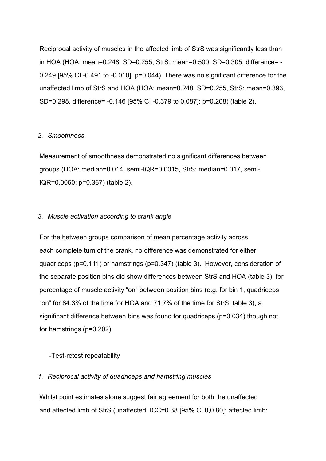Reciprocal activity of muscles in the affected limb of StrS was significantly less than in HOA (HOA: mean=0.248, SD=0.255, StrS: mean=0.500, SD=0.305, difference= - 0.249 [95% CI -0.491 to -0.010]; p=0.044). There was no significant difference for the unaffected limb of StrS and HOA (HOA: mean=0.248, SD=0.255, StrS: mean=0.393, SD=0.298, difference= -0.146 [95% CI -0.379 to 0.087]; p=0.208) (table 2).

## *2. Smoothness*

Measurement of smoothness demonstrated no significant differences between groups (HOA: median=0.014, semi-IQR=0.0015, StrS: median=0.017, semi-IQR=0.0050; p=0.367) (table 2).

#### *3. Muscle activation according to crank angle*

For the between groups comparison of mean percentage activity across each complete turn of the crank, no difference was demonstrated for either quadriceps (p=0.111) or hamstrings (p=0.347) (table 3). However, consideration of the separate position bins did show differences between StrS and HOA (table 3) for percentage of muscle activity "on" between position bins (e.g. for bin 1, quadriceps "on" for 84.3% of the time for HOA and 71.7% of the time for StrS; table 3), a significant difference between bins was found for quadriceps (p=0.034) though not for hamstrings (p=0.202).

-Test-retest repeatability

#### *1. Reciprocal activity of quadriceps and hamstring muscles*

Whilst point estimates alone suggest fair agreement for both the unaffected and affected limb of StrS (unaffected: ICC=0.38 [95% CI 0,0.80]; affected limb: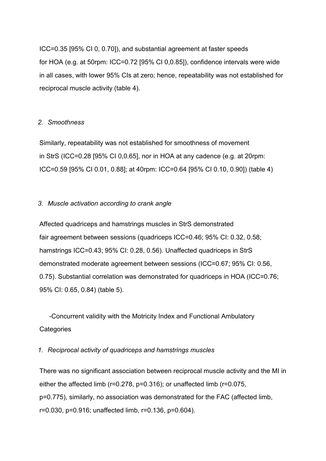ICC=0.35 [95% CI 0, 0.70]), and substantial agreement at faster speeds for HOA (e.g. at 50rpm: ICC=0.72 [95% CI 0,0.85]), confidence intervals were wide in all cases, with lower 95% CIs at zero; hence, repeatability was not established for reciprocal muscle activity (table 4).

#### *2. Smoothness*

Similarly, repeatability was not established for smoothness of movement in StrS (ICC=0.28 [95% CI 0,0.65], nor in HOA at any cadence (e.g. at 20rpm: ICC=0.59 [95% CI 0.01, 0.88]; at 40rpm: ICC=0.64 [95% CI 0.10, 0.90]) (table 4)

# *3. Muscle activation according to crank angle*

Affected quadriceps and hamstrings muscles in StrS demonstrated fair agreement between sessions (quadriceps ICC=0.46; 95% CI: 0.32, 0.58; hamstrings ICC=0.43; 95% CI: 0.28, 0.56). Unaffected quadriceps in StrS demonstrated moderate agreement between sessions (ICC=0.67; 95% CI: 0.56, 0.75). Substantial correlation was demonstrated for quadriceps in HOA (ICC=0.76; 95% CI: 0.65, 0.84) (table 5).

-Concurrent validity with the Motricity Index and Functional Ambulatory **Categories** 

# *1. Reciprocal activity of quadriceps and hamstrings muscles*

There was no significant association between reciprocal muscle activity and the MI in either the affected limb (r=0.278, p=0.316); or unaffected limb (r=0.075, p=0.775), similarly, no association was demonstrated for the FAC (affected limb, r=0.030, p=0.916; unaffected limb, r=0.136, p=0.604).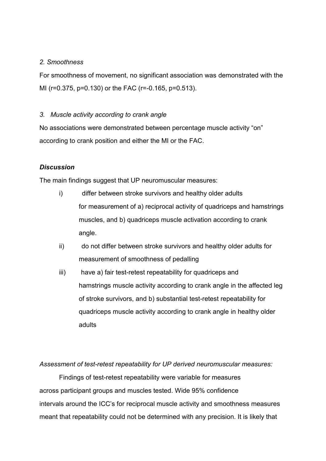# *2. Smoothness*

For smoothness of movement, no significant association was demonstrated with the MI (r=0.375, p=0.130) or the FAC (r=-0.165, p=0.513).

# *3. Muscle activity according to crank angle*

No associations were demonstrated between percentage muscle activity "on" according to crank position and either the MI or the FAC.

# *Discussion*

The main findings suggest that UP neuromuscular measures:

- i) differ between stroke survivors and healthy older adults for measurement of a) reciprocal activity of quadriceps and hamstrings muscles, and b) quadriceps muscle activation according to crank angle.
- ii) do not differ between stroke survivors and healthy older adults for measurement of smoothness of pedalling
- iii) have a) fair test-retest repeatability for quadriceps and hamstrings muscle activity according to crank angle in the affected leg of stroke survivors, and b) substantial test-retest repeatability for quadriceps muscle activity according to crank angle in healthy older adults

*Assessment of test-retest repeatability for UP derived neuromuscular measures:*

Findings of test-retest repeatability were variable for measures across participant groups and muscles tested. Wide 95% confidence intervals around the ICC's for reciprocal muscle activity and smoothness measures meant that repeatability could not be determined with any precision. It is likely that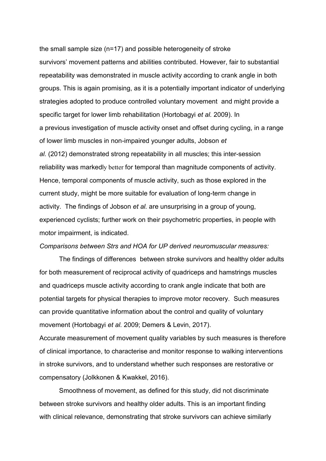the small sample size (n=17) and possible heterogeneity of stroke survivors' movement patterns and abilities contributed. However, fair to substantial repeatability was demonstrated in muscle activity according to crank angle in both groups. This is again promising, as it is a potentially important indicator of underlying strategies adopted to produce controlled voluntary movement and might provide a specific target for lower limb rehabilitation (Hortobagyi *et al.* 2009). In a previous investigation of muscle activity onset and offset during cycling, in a range of lower limb muscles in non-impaired younger adults, Jobson *et al.* (2012) demonstrated strong repeatability in all muscles; this inter-session reliability was markedly better for temporal than magnitude components of activity. Hence, temporal components of muscle activity, such as those explored in the current study, might be more suitable for evaluation of long-term change in activity. The findings of Jobson *et al.* are unsurprising in a group of young, experienced cyclists; further work on their psychometric properties, in people with motor impairment, is indicated.

#### *Comparisons between Strs and HOA for UP derived neuromuscular measures:*

The findings of differences between stroke survivors and healthy older adults for both measurement of reciprocal activity of quadriceps and hamstrings muscles and quadriceps muscle activity according to crank angle indicate that both are potential targets for physical therapies to improve motor recovery. Such measures can provide quantitative information about the control and quality of voluntary movement (Hortobagyi *et al.* 2009; Demers & Levin, 2017).

Accurate measurement of movement quality variables by such measures is therefore of clinical importance, to characterise and monitor response to walking interventions in stroke survivors, and to understand whether such responses are restorative or compensatory (Jolkkonen & Kwakkel, 2016).

Smoothness of movement, as defined for this study, did not discriminate between stroke survivors and healthy older adults. This is an important finding with clinical relevance, demonstrating that stroke survivors can achieve similarly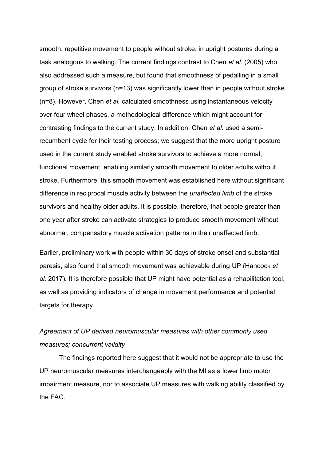smooth, repetitive movement to people without stroke, in upright postures during a task analogous to walking. The current findings contrast to Chen *et al.* (2005) who also addressed such a measure, but found that smoothness of pedalling in a small group of stroke survivors (n=13) was significantly lower than in people without stroke (n=8). However, Chen *et al.* calculated smoothness using instantaneous velocity over four wheel phases, a methodological difference which might account for contrasting findings to the current study. In addition, Chen *et al.* used a semirecumbent cycle for their testing process; we suggest that the more upright posture used in the current study enabled stroke survivors to achieve a more normal, functional movement, enabling similarly smooth movement to older adults without stroke. Furthermore, this smooth movement was established here without significant difference in reciprocal muscle activity between the *unaffected limb* of the stroke survivors and healthy older adults. It is possible, therefore, that people greater than one year after stroke can activate strategies to produce smooth movement without abnormal, compensatory muscle activation patterns in their unaffected limb.

Earlier, preliminary work with people within 30 days of stroke onset and substantial paresis, also found that smooth movement was achievable during UP (Hancock *et al.* 2017)*.* It is therefore possible that UP might have potential as a rehabilitation tool, as well as providing indicators of change in movement performance and potential targets for therapy.

# *Agreement of UP derived neuromuscular measures with other commonly used measures; concurrent validity*

The findings reported here suggest that it would not be appropriate to use the UP neuromuscular measures interchangeably with the MI as a lower limb motor impairment measure, nor to associate UP measures with walking ability classified by the FAC.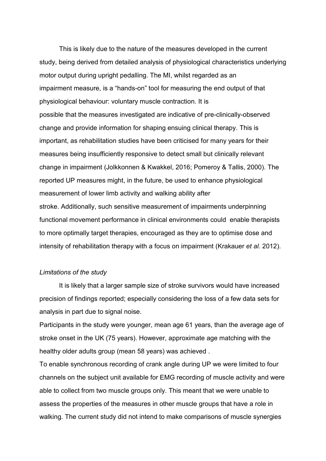This is likely due to the nature of the measures developed in the current study, being derived from detailed analysis of physiological characteristics underlying motor output during upright pedalling. The MI, whilst regarded as an impairment measure, is a "hands-on" tool for measuring the end output of that physiological behaviour: voluntary muscle contraction. It is possible that the measures investigated are indicative of pre-clinically-observed change and provide information for shaping ensuing clinical therapy. This is important, as rehabilitation studies have been criticised for many years for their measures being insufficiently responsive to detect small but clinically relevant change in impairment (Jolkkonnen & Kwakkel, 2016; Pomeroy & Tallis, 2000). The reported UP measures might, in the future, be used to enhance physiological measurement of lower limb activity and walking ability after stroke. Additionally, such sensitive measurement of impairments underpinning functional movement performance in clinical environments could enable therapists to more optimally target therapies, encouraged as they are to optimise dose and intensity of rehabilitation therapy with a focus on impairment (Krakauer *et al.* 2012).

### *Limitations of the study*

It is likely that a larger sample size of stroke survivors would have increased precision of findings reported; especially considering the loss of a few data sets for analysis in part due to signal noise.

Participants in the study were younger, mean age 61 years, than the average age of stroke onset in the UK (75 years). However, approximate age matching with the healthy older adults group (mean 58 years) was achieved .

To enable synchronous recording of crank angle during UP we were limited to four channels on the subject unit available for EMG recording of muscle activity and were able to collect from two muscle groups only. This meant that we were unable to assess the properties of the measures in other muscle groups that have a role in walking. The current study did not intend to make comparisons of muscle synergies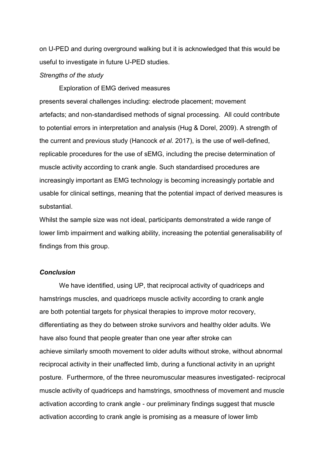on U-PED and during overground walking but it is acknowledged that this would be useful to investigate in future U-PED studies.

#### *Strengths of the study*

Exploration of EMG derived measures

presents several challenges including: electrode placement; movement artefacts; and non-standardised methods of signal processing. All could contribute to potential errors in interpretation and analysis (Hug & Dorel, 2009). A strength of the current and previous study (Hancock *et al.* 2017), is the use of well-defined, replicable procedures for the use of sEMG, including the precise determination of muscle activity according to crank angle. Such standardised procedures are increasingly important as EMG technology is becoming increasingly portable and usable for clinical settings, meaning that the potential impact of derived measures is substantial.

Whilst the sample size was not ideal, participants demonstrated a wide range of lower limb impairment and walking ability, increasing the potential generalisability of findings from this group.

## *Conclusion*

We have identified, using UP, that reciprocal activity of quadriceps and hamstrings muscles, and quadriceps muscle activity according to crank angle are both potential targets for physical therapies to improve motor recovery, differentiating as they do between stroke survivors and healthy older adults. We have also found that people greater than one year after stroke can achieve similarly smooth movement to older adults without stroke, without abnormal reciprocal activity in their unaffected limb, during a functional activity in an upright posture. Furthermore, of the three neuromuscular measures investigated- reciprocal muscle activity of quadriceps and hamstrings, smoothness of movement and muscle activation according to crank angle - our preliminary findings suggest that muscle activation according to crank angle is promising as a measure of lower limb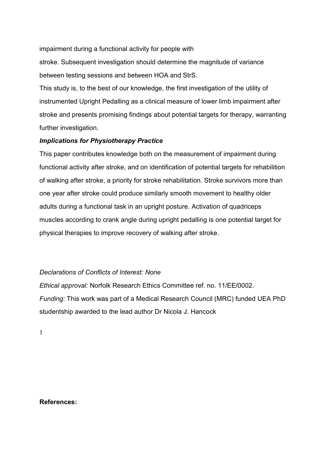impairment during a functional activity for people with

stroke. Subsequent investigation should determine the magnitude of variance between testing sessions and between HOA and StrS.

This study is, to the best of our knowledge, the first investigation of the utility of instrumented Upright Pedalling as a clinical measure of lower limb impairment after stroke and presents promising findings about potential targets for therapy, warranting further investigation.

# *Implications for Physiotherapy Practice*

This paper contributes knowledge both on the measurement of impairment during functional activity after stroke, and on identification of potential targets for rehabilition of walking after stroke, a priority for stroke rehabilitation. Stroke survivors more than one year after stroke could produce similarly smooth movement to healthy older adults during a functional task in an upright posture. Activation of quadriceps muscles according to crank angle during upright pedalling is one potential target for physical therapies to improve recovery of walking after stroke.

# *Declarations of Conflicts of Interest: None*

*Ethical approval:* Norfolk Research Ethics Committee ref. no. 11/EE/0002. *Funding:* This work was part of a Medical Research Council (MRC) funded UEA PhD studentship awarded to the lead author Dr Nicola J. Hancock

1

**References:**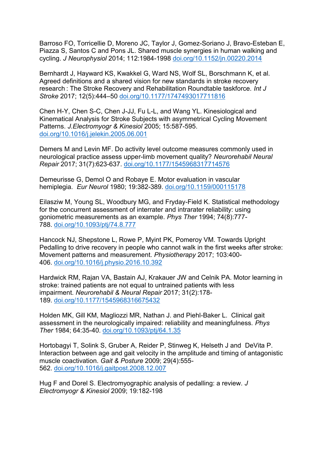Barroso FO, Torricellie D, Moreno JC, Taylor J, Gomez-Soriano J, Bravo-Esteban E, Piazza S, Santos C and Pons JL. Shared muscle synergies in human walking and cycling. *J Neurophysiol* 2014; 112:1984-1998 [doi.org/10.1152/jn.00220.2014](https://doi.org/10.1152/jn.00220.2014)

Bernhardt J, Hayward KS, Kwakkel G, Ward NS, Wolf SL, Borschmann K, et al. Agreed definitions and a shared vision for new standards in stroke recovery research : The Stroke Recovery and Rehabilitation Roundtable taskforce. *Int J Stroke* 2017; 12(5):444–50 [doi.org/10.1177/1747493017711816](https://doi.org/10.1177/1747493017711816)

Chen H-Y, Chen S-C, Chen J-JJ, Fu L-L, and Wang YL. Kinesiological and Kinematical Analysis for Stroke Subjects with asymmetrical Cycling Movement Patterns. *J.Electromyogr & Kinesiol* 2005; 15:587-595. [doi.org/10.1016/j.jelekin.2005.06.001](https://doi.org/10.1016/j.jelekin.2005.06.001)

Demers M and Levin MF. Do activity level outcome measures commonly used in neurological practice assess upper-limb movement quality? *Neurorehabil Neural Repair* 2017; 31(7):623-637. [doi.org/10.1177/1545968317714576](https://doi.org/10.1177/1545968317714576)

Demeurisse G, Demol O and Robaye E. Motor evaluation in vascular hemiplegia. *Eur Neurol* 1980; 19:382-389. [doi.org/10.1159/000115178](https://doi.org/10.1159/000115178)

Eilasziw M, Young SL, Woodbury MG, and Fryday-Field K. Statistical methodology for the concurrent assessment of interrater and intrarater reliability: using goniometric measurements as an example. *Phys Ther* 1994; 74(8):777- 788. [doi.org/10.1093/ptj/74.8.777](https://doi.org/10.1093/ptj/74.8.777)

Hancock NJ, Shepstone L, Rowe P, Myint PK, Pomeroy VM. Towards Upright Pedalling to drive recovery in people who cannot walk in the first weeks after stroke: Movement patterns and measurement. *Physiotherapy* 2017; 103:400- 406. [doi.org/10.1016/j.physio.2016.10.392](https://doi.org/10.1016/j.physio.2016.10.392)

Hardwick RM, Rajan VA, Bastain AJ, Krakauer JW and Celnik PA. Motor learning in stroke: trained patients are not equal to untrained patients with less impairment. *Neurorehabil & Neural Repair* 2017; 31(2):178- 189. [doi.org/10.1177/1545968316675432](https://doi.org/10.1177/1545968316675432)

Holden MK, Gill KM, Magliozzi MR, Nathan J. and Piehl-Baker L. Clinical gait assessment in the neurologically impaired: reliability and meaningfulness. *Phys Ther* 1984; 64:35-40. [doi.org/10.1093/ptj/64.1.35](https://doi.org/10.1093/ptj/64.1.35)

Hortobagyi T, Solink S, Gruber A, Reider P, Stinweg K, Helseth J and DeVita P. Interaction between age and gait velocity in the amplitude and timing of antagonistic muscle coactivation. *Gait & Posture* 2009; 29(4):555- 562. [doi.org/10.1016/j.gaitpost.2008.12.007](https://doi.org/10.1016/j.gaitpost.2008.12.007)

Hug F and Dorel S. Electromyographic analysis of pedalling: a review. *J Electromyogr & Kinesiol* 2009; 19:182-198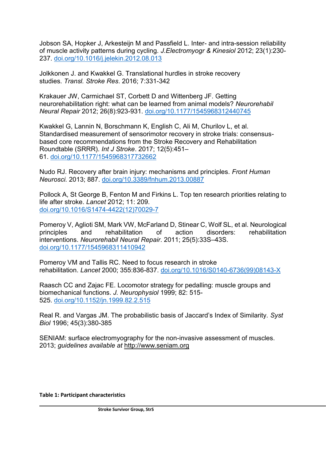Jobson SA, Hopker J, Arkesteijn M and Passfield L. Inter- and intra-session reliability of muscle activity patterns during cycling. *J.Electromyogr & Kinesiol* 2012; 23(1):230- 237. [doi.org/10.1016/j.jelekin.2012.08.013](https://doi.org/10.1016/j.jelekin.2012.08.013)

Jolkkonen J. and Kwakkel G. Translational hurdles in stroke recovery studies. *Transl. Stroke Res*. 2016; 7:331-342

Krakauer JW, Carmichael ST, Corbett D and Wittenberg JF. Getting neurorehabilitation right: what can be learned from animal models? *Neurorehabil Neural Repair* 2012; 26(8):923-931. [doi.org/10.1177/1545968312440745](https://doi.org/10.1177/1545968312440745)

Kwakkel G, Lannin N, Borschmann K, English C, Ali M, Churilov L, et al. Standardised measurement of sensorimotor recovery in stroke trials: consensusbased core recommendations from the Stroke Recovery and Rehabilitation Roundtable (SRRR). *Int J Stroke*. 2017; 12(5):451– 61. [doi.org/10.1177/1545968317732662](https://doi.org/10.1177/1545968317732662)

Nudo RJ. Recovery after brain injury: mechanisms and principles. *Front Human Neurosci.* 2013; 887. [doi.org/10.3389/fnhum.2013.00887](https://doi.org/10.3389/fnhum.2013.00887)

Pollock A, St George B, Fenton M and Firkins L. Top ten research priorities relating to life after stroke. *Lancet* 2012; 11: 209. [doi.org/10.1016/S1474-4422\(12\)70029-7](https://doi.org/10.1016/S1474-4422(12)70029-7)

Pomeroy V, Aglioti SM, Mark VW, McFarland D, Stinear C, Wolf SL, et al. Neurological principles and rehabilitation of action disorders: rehabilitation interventions. *Neurorehabil Neural Repair*. 2011; 25(5):33S–43S. [doi.org/10.1177/1545968311410942](https://doi.org/10.1177/1545968311410942)

Pomeroy VM and Tallis RC. Need to focus research in stroke rehabilitation. *Lancet* 2000; 355:836-837. [doi.org/10.1016/S0140-6736\(99\)08143-X](https://doi.org/10.1016/S0140-6736(99)08143-X)

Raasch CC and Zajac FE. Locomotor strategy for pedalling: muscle groups and biomechanical functions. *J. Neurophysiol* 1999; 82: 515- 525. [doi.org/10.1152/jn.1999.82.2.515](https://doi.org/10.1152/jn.1999.82.2.515)

Real R. and Vargas JM. The probabilistic basis of Jaccard's Index of Similarity. *Syst Biol* 1996; 45(3):380-385

SENIAM: surface electromyography for the non-invasive assessment of muscles. 2013; *guidelines available at* [http://www.seniam.org](http://www.seniam.org/)

**Table 1: Participant characteristics**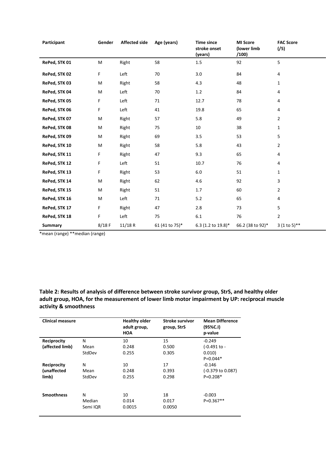| Participant    | Gender   | <b>Affected side</b> | Age (years)    | <b>Time since</b><br>stroke onset<br>(years) | <b>MI Score</b><br>(lower limb<br>/100) | <b>FAC Score</b><br>(75) |
|----------------|----------|----------------------|----------------|----------------------------------------------|-----------------------------------------|--------------------------|
| RePed, STK 01  | M        | Right                | 58             | 1.5                                          | 92                                      | 5                        |
| RePed, STK 02  | F        | Left                 | 70             | 3.0                                          | 84                                      | 4                        |
| RePed, STK 03  | M        | Right                | 58             | 4.3                                          | 48                                      | $\mathbf{1}$             |
| RePed, STK 04  | M        | Left                 | 70             | 1.2                                          | 84                                      | 4                        |
| RePed, STK 05  | F        | Left                 | 71             | 12.7                                         | 78                                      | 4                        |
| RePed, STK 06  | F        | Left                 | 41             | 19.8                                         | 65                                      | 4                        |
| RePed, STK 07  | M        | Right                | 57             | 5.8                                          | 49                                      | $\overline{2}$           |
| RePed, STK 08  | M        | Right                | 75             | 10                                           | 38                                      | 1                        |
| RePed, STK 09  | M        | Right                | 69             | 3.5                                          | 53                                      | 5                        |
| RePed, STK 10  | M        | Right                | 58             | 5.8                                          | 43                                      | $\overline{2}$           |
| RePed, STK 11  | F        | Right                | 47             | 9.3                                          | 65                                      | 4                        |
| RePed, STK 12  | F        | Left                 | 51             | 10.7                                         | 76                                      | 4                        |
| RePed, STK 13  | F        | Right                | 53             | 6.0                                          | 51                                      | $\mathbf{1}$             |
| RePed, STK 14  | M        | Right                | 62             | 4.6                                          | 92                                      | 3                        |
| RePed, STK 15  | M        | Right                | 51             | 1.7                                          | 60                                      | $\overline{2}$           |
| RePed, STK 16  | M        | Left                 | 71             | 5.2                                          | 65                                      | 4                        |
| RePed, STK 17  | F        | Right                | 47             | 2.8                                          | 73                                      | 5                        |
| RePed, STK 18  | F        | Left                 | 75             | 6.1                                          | 76                                      | $\overline{2}$           |
| <b>Summary</b> | $8/18$ F | 11/18 R              | 61 (41 to 75)* | 6.3 (1.2 to 19.8)*                           | 66.2 (38 to 92)*                        | $3(1 to 5)$ **           |

\*mean (range) \*\*median (range)

**Table 2: Results of analysis of difference between stroke survivor group, StrS, and healthy older adult group, HOA, for the measurement of lower limb motor impairment by UP: reciprocal muscle activity & smoothness**

| <b>Clinical measure</b> |                         | <b>Healthy older</b><br>adult group,<br><b>HOA</b> | <b>Stroke survivor</b><br>group, StrS | <b>Mean Difference</b><br>(95%C.1)<br>p-value |
|-------------------------|-------------------------|----------------------------------------------------|---------------------------------------|-----------------------------------------------|
| <b>Reciprocity</b>      | N                       | 10                                                 | 15                                    | $-0.249$                                      |
| (affected limb)         | Mean                    | 0.248                                              | 0.500                                 | (-0.491 to -                                  |
|                         | StdDev                  | 0.255                                              | 0.305                                 | 0.010)<br>$P=0.044*$                          |
| Reciprocity             | N                       | 10                                                 | 17                                    | $-0.146$                                      |
| (unaffected             | Mean                    | 0.248                                              | 0.393                                 | $(-0.379 \text{ to } 0.087)$                  |
| limb)                   | StdDev                  | 0.255                                              | 0.298                                 | $P=0.208*$                                    |
| <b>Smoothness</b>       | N<br>Median<br>Semi IQR | 10<br>0.014<br>0.0015                              | 18<br>0.017<br>0.0050                 | $-0.003$<br>$P=0.367**$                       |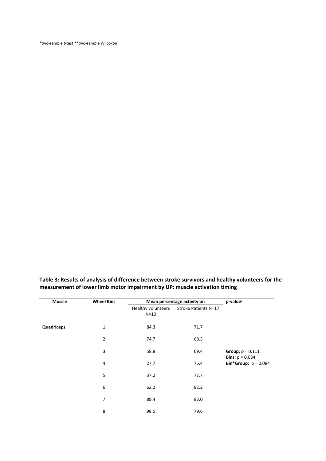\*two-sample *t*-test \*\*two-sample Wilcoxon

**Muscle Wheel Bins Mean percentage activity on p-value<sup>1</sup>** Healthy volunteers  $N=10$ Stroke Patients N=17 **Quadriceps** 1 84.3 71.7 **Group:** p = 0.111 **Bins:**  $p = 0.034$ **Bin\*Group:**  $p = 0.084$ 2 74.7 68.3 3 58.8 69.4 4 27.7 76.4 5 37.2 77.7 6 62.2 82.2 7 89.4 83.0 8 98.5 79.6

**Table 3: Results of analysis of difference between stroke survivors and healthy volunteers for the measurement of lower limb motor impairment by UP: muscle activation timing**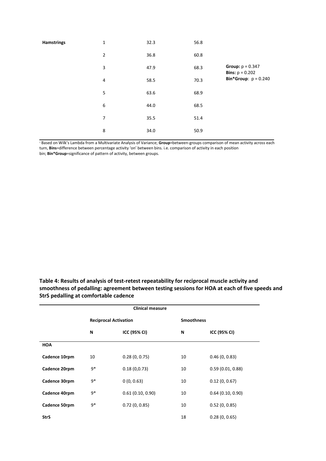| <b>Hamstrings</b> | $\mathbf 1$      | 32.3 | 56.8 |                                                       |
|-------------------|------------------|------|------|-------------------------------------------------------|
|                   | $\overline{2}$   | 36.8 | 60.8 |                                                       |
|                   | 3                | 47.9 | 68.3 | <b>Group:</b> $p = 0.347$<br><b>Bins:</b> $p = 0.202$ |
|                   | $\overline{4}$   | 58.5 | 70.3 | <b>Bin*Group:</b> $p = 0.240$                         |
|                   | 5                | 63.6 | 68.9 |                                                       |
|                   | $\boldsymbol{6}$ | 44.0 | 68.5 |                                                       |
|                   | $\overline{7}$   | 35.5 | 51.4 |                                                       |
|                   | 8                | 34.0 | 50.9 |                                                       |

<sup>1</sup> Based on Wilk's Lambda from a Multivariate Analysis of Variance; **Group**=between-groups comparison of mean activity across each turn, **Bins**=difference between percentage activity 'on' between bins. i.e. comparison of activity in each position bin; **Bin\*Group**=significance of pattern of activity, between groups.

**Table 4: Results of analysis of test-retest repeatability for reciprocal muscle activity and smoothness of pedalling: agreement between testing sessions for HOA at each of five speeds and StrS pedalling at comfortable cadence**

| <b>Clinical measure</b> |                              |                  |                   |                  |
|-------------------------|------------------------------|------------------|-------------------|------------------|
|                         | <b>Reciprocal Activation</b> |                  | <b>Smoothness</b> |                  |
|                         | N                            | ICC (95% CI)     | N                 | ICC (95% CI)     |
| <b>HOA</b>              |                              |                  |                   |                  |
| Cadence 10rpm           | 10                           | 0.28(0, 0.75)    | 10                | 0.46(0, 0.83)    |
| Cadence 20rpm           | $9*$                         | 0.18(0,0.73)     | 10                | 0.59(0.01, 0.88) |
| Cadence 30rpm           | $9*$                         | 0(0, 0.63)       | 10                | 0.12(0, 0.67)    |
| Cadence 40rpm           | $9*$                         | 0.61(0.10, 0.90) | 10                | 0.64(0.10, 0.90) |
| Cadence 50rpm           | $9*$                         | 0.72(0, 0.85)    | 10                | 0.52(0, 0.85)    |
| <b>StrS</b>             |                              |                  | 18                | 0.28(0, 0.65)    |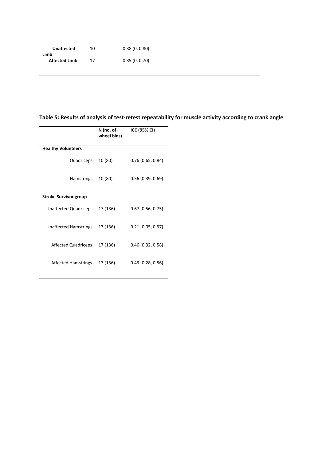| <b>Unaffected</b>    | 10 | 0.38(0, 0.80) |
|----------------------|----|---------------|
| Limb                 |    |               |
| <b>Affected Limb</b> | 17 | 0.35(0, 0.70) |

# **Table 5: Results of analysis of test-retest repeatability for muscle activity according to crank angle**

|                              | N (no. of<br>wheel bins) | ICC (95% CI)     |  |  |
|------------------------------|--------------------------|------------------|--|--|
| <b>Healthy Volunteers</b>    |                          |                  |  |  |
| Quadriceps                   | 10 (80)                  | 0.76(0.65, 0.84) |  |  |
| <b>Hamstrings</b>            | 10 (80)                  | 0.56(0.39, 0.69) |  |  |
| <b>Stroke Survivor group</b> |                          |                  |  |  |
| <b>Unaffected Quadriceps</b> | 17 (136)                 | 0.67(0.56, 0.75) |  |  |
| Unaffected Hamstrings        | 17 (136)                 | 0.21(0.05, 0.37) |  |  |
| <b>Affected Quadriceps</b>   | 17 (136)                 | 0.46(0.32, 0.58) |  |  |
| <b>Affected Hamstrings</b>   | 17 (136)                 | 0.43(0.28, 0.56) |  |  |
|                              |                          |                  |  |  |